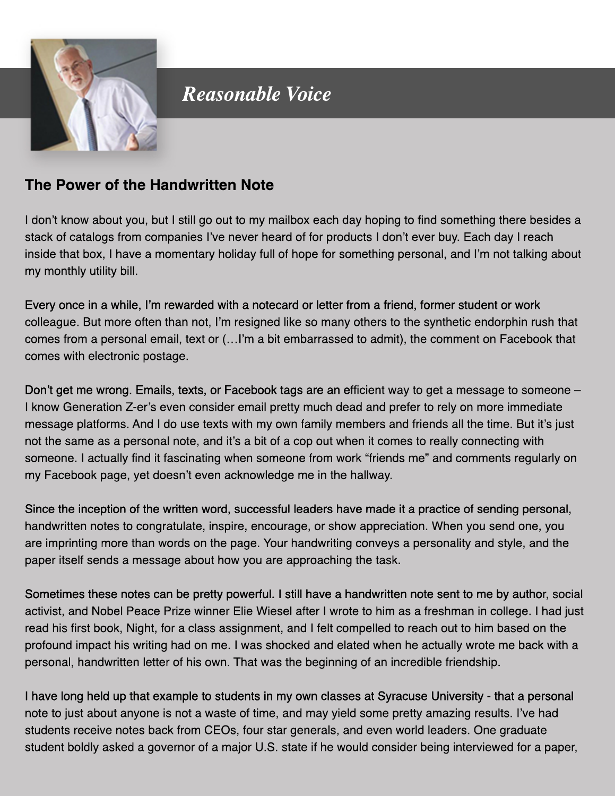

## **Reasonable Voice**

## **The Power of the Handwritten Note**

I don't know about you, but I still go out to my mailbox each day hoping to find something there besides a stack of catalogs from companies I've never heard of for products I don't ever buy. Each day I reach inside that box, I have a momentary holiday full of hope for something personal, and I'm not talking about my monthly utility bill.

Every once in a while, I'm rewarded with a notecard or letter from a friend, former student or work colleague. But more often than not, I'm resigned like so many others to the synthetic endorphin rush that comes from a personal email, text or (...I'm a bit embarrassed to admit), the comment on Facebook that comes with electronic postage.

Don't get me wrong. Emails, texts, or Facebook tags are an efficient way to get a message to someone – I know Generation Z-er's even consider email pretty much dead and prefer to rely on more immediate message platforms. And I do use texts with my own family members and friends all the time. But it's just not the same as a personal note, and it's a bit of a cop out when it comes to really connecting with someone. I actually find it fascinating when someone from work "friends me" and comments regularly on my Facebook page, yet doesn't even acknowledge me in the hallway.

Since the inception of the written word, successful leaders have made it a practice of sending personal, handwritten notes to congratulate, inspire, encourage, or show appreciation. When you send one, you are imprinting more than words on the page. Your handwriting conveys a personality and style, and the paper itself sends a message about how you are approaching the task.

Sometimes these notes can be pretty powerful. I still have a handwritten note sent to me by author, social activist, and Nobel Peace Prize winner Elie Wiesel after I wrote to him as a freshman in college. I had just read his first book, Night, for a class assignment, and I felt compelled to reach out to him based on the profound impact his writing had on me. I was shocked and elated when he actually wrote me back with a personal, handwritten letter of his own. That was the beginning of an incredible friendship.

I have long held up that example to students in my own classes at Syracuse University - that a personal note to just about anyone is not a waste of time, and may yield some pretty amazing results. I've had students receive notes back from CEOs, four star generals, and even world leaders. One graduate student boldly asked a governor of a major U.S. state if he would consider being interviewed for a paper,